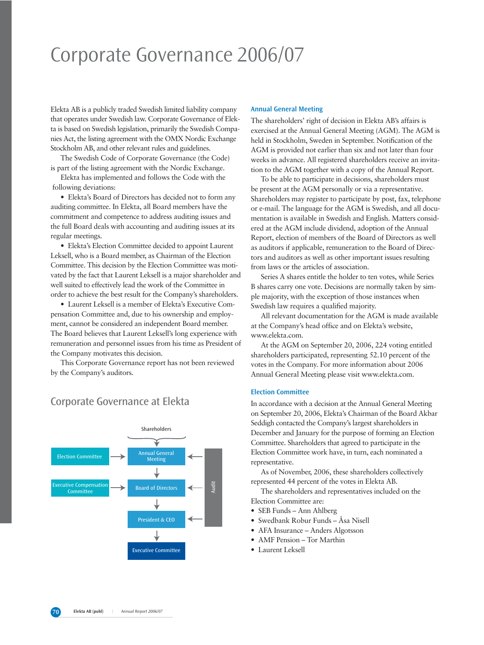# Corporate Governance 2006/07

Elekta AB is a publicly traded Swedish limited liability company that operates under Swedish law. Corporate Governance of Elekta is based on Swedish legislation, primarily the Swedish Companies Act, the listing agreement with the OMX Nordic Exchange Stockholm AB, and other relevant rules and guidelines.

The Swedish Code of Corporate Governance (the Code) is part of the listing agreement with the Nordic Exchange.

Elekta has implemented and follows the Code with the following deviations:

• Elekta's Board of Directors has decided not to form any auditing committee. In Elekta, all Board members have the commitment and competence to address auditing issues and the full Board deals with accounting and auditing issues at its regular meetings.

• Elekta's Election Committee decided to appoint Laurent Leksell, who is a Board member, as Chairman of the Election Committee. This decision by the Election Committee was motivated by the fact that Laurent Leksell is a major shareholder and well suited to effectively lead the work of the Committee in order to achieve the best result for the Company's shareholders.

• Laurent Leksell is a member of Elekta's Executive Compensation Committee and, due to his ownership and employment, cannot be considered an independent Board member. The Board believes that Laurent Leksell's long experience with remuneration and personnel issues from his time as President of the Company motivates this decision.

This Corporate Governance report has not been reviewed by the Company's auditors.

### Corporate Governance at Elekta



### **Annual General Meeting**

The shareholders' right of decision in Elekta AB's affairs is exercised at the Annual General Meeting (AGM). The AGM is held in Stockholm, Sweden in September. Notification of the AGM is provided not earlier than six and not later than four weeks in advance. All registered shareholders receive an invitation to the AGM together with a copy of the Annual Report.

To be able to participate in decisions, shareholders must be present at the AGM personally or via a representative. Shareholders may register to participate by post, fax, telephone or e-mail. The language for the AGM is Swedish, and all documentation is available in Swedish and English. Matters considered at the AGM include dividend, adoption of the Annual Report, election of members of the Board of Directors as well as auditors if applicable, remuneration to the Board of Directors and auditors as well as other important issues resulting from laws or the articles of association.

Series A shares entitle the holder to ten votes, while Series B shares carry one vote. Decisions are normally taken by simple majority, with the exception of those instances when Swedish law requires a qualified majority.

All relevant documentation for the AGM is made available at the Company's head office and on Elekta's website, www.elekta.com.

At the AGM on September 20, 2006, 224 voting entitled shareholders participated, representing 52.10 percent of the votes in the Company. For more information about 2006 Annual General Meeting please visit www.elekta.com.

### **Election Committee**

In accordance with a decision at the Annual General Meeting on September 20, 2006, Elekta's Chairman of the Board Akbar Seddigh contacted the Company's largest shareholders in December and January for the purpose of forming an Election Committee. Shareholders that agreed to participate in the Election Committee work have, in turn, each nominated a representative.

As of November, 2006, these shareholders collectively represented 44 percent of the votes in Elekta AB.

The shareholders and representatives included on the Election Committee are:

- SEB Funds Ann Ahlberg
- Swedbank Robur Funds Åsa Nisell
- AFA Insurance Anders Algotsson
- AMF Pension Tor Marthin
- Laurent Leksell

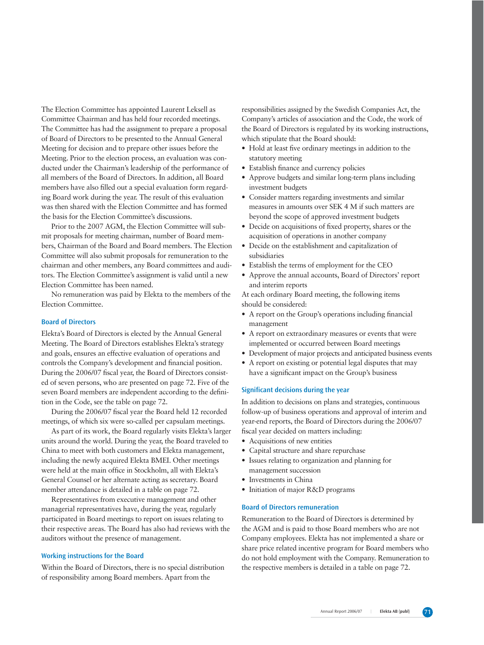The Election Committee has appointed Laurent Leksell as Committee Chairman and has held four recorded meetings. The Committee has had the assignment to prepare a proposal of Board of Directors to be presented to the Annual General Meeting for decision and to prepare other issues before the Meeting. Prior to the election process, an evaluation was conducted under the Chairman's leadership of the performance of all members of the Board of Directors. In addition, all Board members have also filled out a special evaluation form regarding Board work during the year. The result of this evaluation was then shared with the Election Committee and has formed the basis for the Election Committee's discussions.

Prior to the 2007 AGM, the Election Committee will submit proposals for meeting chairman, number of Board members, Chairman of the Board and Board members. The Election Committee will also submit proposals for remuneration to the chairman and other members, any Board committees and auditors. The Election Committee's assignment is valid until a new Election Committee has been named.

No remuneration was paid by Elekta to the members of the Election Committee.

### **Board of Directors**

Elekta's Board of Directors is elected by the Annual General Meeting. The Board of Directors establishes Elekta's strategy and goals, ensures an effective evaluation of operations and controls the Company's development and financial position. During the 2006/07 fiscal year, the Board of Directors consisted of seven persons, who are presented on page 72. Five of the seven Board members are independent according to the definition in the Code, see the table on page 72.

During the 2006/07 fiscal year the Board held 12 recorded meetings, of which six were so-called per capsulam meetings.

As part of its work, the Board regularly visits Elekta's larger units around the world. During the year, the Board traveled to China to meet with both customers and Elekta management, including the newly acquired Elekta BMEI. Other meetings were held at the main office in Stockholm, all with Elekta's General Counsel or her alternate acting as secretary. Board member attendance is detailed in a table on page 72.

Representatives from executive management and other managerial representatives have, during the year, regularly participated in Board meetings to report on issues relating to their respective areas. The Board has also had reviews with the auditors without the presence of management.

### **Working instructions for the Board**

Within the Board of Directors, there is no special distribution of responsibility among Board members. Apart from the

responsibilities assigned by the Swedish Companies Act, the Company's articles of association and the Code, the work of the Board of Directors is regulated by its working instructions, which stipulate that the Board should:

- Hold at least five ordinary meetings in addition to the statutory meeting
- Establish finance and currency policies
- Approve budgets and similar long-term plans including investment budgets
- Consider matters regarding investments and similar measures in amounts over SEK 4 M if such matters are beyond the scope of approved investment budgets
- Decide on acquisitions of fixed property, shares or the acquisition of operations in another company
- Decide on the establishment and capitalization of subsidiaries
- Establish the terms of employment for the CEO
- Approve the annual accounts, Board of Directors' report and interim reports

At each ordinary Board meeting, the following items should be considered:

- A report on the Group's operations including financial management
- A report on extraordinary measures or events that were implemented or occurred between Board meetings
- Development of major projects and anticipated business events
- A report on existing or potential legal disputes that may have a significant impact on the Group's business

### **Significant decisions during the year**

In addition to decisions on plans and strategies, continuous follow-up of business operations and approval of interim and year-end reports, the Board of Directors during the 2006/07 fiscal year decided on matters including:

- Acquisitions of new entities
- Capital structure and share repurchase
- Issues relating to organization and planning for management succession
- Investments in China
- Initiation of major R&D programs

#### **Board of Directors remuneration**

Remuneration to the Board of Directors is determined by the AGM and is paid to those Board members who are not Company employees. Elekta has not implemented a share or share price related incentive program for Board members who do not hold employment with the Company. Remuneration to the respective members is detailed in a table on page 72.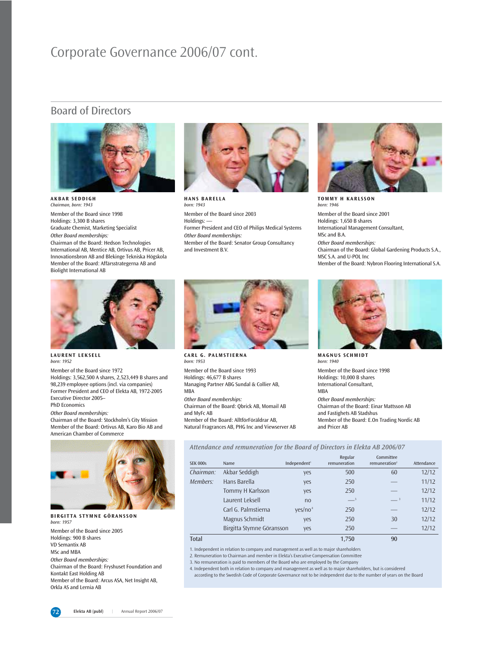## Corporate Governance 2006/07 cont.

### Board of Directors



**AKBAR SEDDIGH** *Chairman, born: 1943* Member of the Board since 1998 Holdings: 3,300 B shares Graduate Chemist, Marketing Specialist *Other Board memberships:* Chairman of the Board: Hedson Technologies International AB, Mentice AB, Ortivus AB, Pricer AB, Innovationsbron AB and Blekinge Tekniska Högskola Member of the Board: Affärsstrategerna AB and Biolight International AB



**HANS BARELLA** *born: 1943* Member of the Board since 2003 Holdings: -Former President and CEO of Philips Medical Systems *Other Board memberships:* Member of the Board: Senator Group Consultancy and Investment B.V.



**TOMMY H KARLSSON** *born: 1946* Member of the Board since 2001 Holdings: 1,650 B shares International Management Consultant, MSc and B.A. *Other Board memberships:* Chairman of the Board: Global Gardening Products S.A., MSC S.A. and U-POL Inc Member of the Board: Nybron Flooring International S.A.



**LAURENT LEKSELL** *born: 1952* 

Member of the Board since 1972 Holdings: 3,562,500 A shares, 2,523,449 B shares and 98,239 employee options (incl. via companies) Former President and CEO of Elekta AB, 1972-2005 Executive Director 2005– PhD Economics

#### *Other Board memberships:*

Chairman of the Board: Stockholm's City Mission Member of the Board: Ortivus AB, Karo Bio AB and American Chamber of Commerce



**BIRGITTA STYMNE GÖRANSSON** *born: 1957*

Member of the Board since 2005 Holdings: 900 B shares VD Semantix AB MSc and MBA

*Other Board memberships:* Chairman of the Board: Fryshuset Foundation and Kontakt East Holding AB Member of the Board: Arcus ASA, Net Insight AB, Orkla AS and Lernia AB



*born: 1953*  Member of the Board since 1993 Holdings: 46,677 B shares Managing Partner ABG Sundal & Collier AB, MBA *Other Board memberships:* Chairman of the Board: Qbrick AB, Momail AB and MyFc AB Member of the Board: AlltförFöräldrar AB, Natural Fragrances AB, PHG Inc and Viewserver AB



**MAGNUS SCHMIDT** *born: 1940*  Member of the Board since 1998 Holdings: 10,000 B shares International Consultant, MBA *Other Board memberships:* Chairman of the Board: Einar Mattsson AB and Fastighets AB Stadshus Member of the Board: E.On Trading Nordic AB and Pricer AB

*Attendance and remuneration for the Board of Directors in Elekta AB 2006/07*

|                 |                           |                          | Regular      | Committee        |            |
|-----------------|---------------------------|--------------------------|--------------|------------------|------------|
| <b>SEK 000s</b> | Name                      | Independent <sup>1</sup> | remuneration | remuneration $2$ | Attendance |
| Chairman:       | Akbar Seddigh             | yes                      | 500          | 60               | 12/12      |
| Members:        | Hans Barella              | yes                      | 250          |                  | 11/12      |
|                 | Tommy H Karlsson          | yes                      | 250          |                  | 12/12      |
|                 | Laurent Leksell           | no                       | $-3$         | $-3$             | 11/12      |
|                 | Carl G. Palmstierna       | ves/no <sup>4</sup>      | 250          |                  | 12/12      |
|                 | Magnus Schmidt            | yes                      | 250          | 30               | 12/12      |
|                 | Birgitta Stymne Göransson | yes                      | 250          |                  | 12/12      |
| Total           |                           |                          | 1.750        | 90               |            |

1. Independent in relation to company and management as well as to major shareholders

2. Remuneration to Chairman and member in Elekta's Executive Compensation Committee

3. No remuneration is paid to members of the Board who are employed by the Company

4. Independent both in relation to company and management as well as to major shareholders, but is considered according to the Swedish Code of Corporate Governance not to be independent due to the number of years on the Board

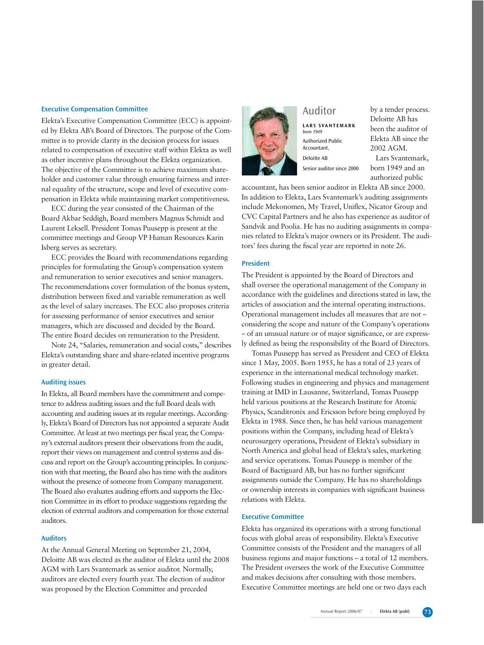### **Executive Compensation Committee**

Elekta's Executive Compensation Committee (ECC) is appointed by Elekta AB's Board of Directors. The purpose of the Committee is to provide clarity in the decision process for issues related to compensation of executive staff within Elekta as well as other incentive plans throughout the Elekta organization. The objective of the Committee is to achieve maximum shareholder and customer value through ensuring fairness and internal equality of the structure, scope and level of executive compensation in Elekta while maintaining market competitiveness.

ECC during the year consisted of the Chairman of the Board Akbar Seddigh, Board members Magnus Schmidt and Laurent Leksell. President Tomas Puusepp is present at the committee meetings and Group VP Human Resources Karin Isberg serves as secretary.

ECC provides the Board with recommendations regarding principles for formulating the Group's compensation system and remuneration to senior executives and senior managers. The recommendations cover formulation of the bonus system, distribution between fixed and variable remuneration as well as the level of salary increases. The ECC also proposes criteria for assessing performance of senior executives and senior managers, which are discussed and decided by the Board. The entire Board decides on remuneration to the President.

Note 24, "Salaries, remuneration and social costs," describes Elekta's outstanding share and share-related incentive programs in greater detail.

### **Auditing issues**

In Elekta, all Board members have the commitment and competence to address auditing issues and the full Board deals with accounting and auditing issues at its regular meetings. Accordingly, Elekta's Board of Directors has not appointed a separate Audit Committee. At least at two meetings per fiscal year, the Company's external auditors present their observations from the audit, report their views on management and control systems and discuss and report on the Group's accounting principles. In conjunction with that meeting, the Board also has time with the auditors without the presence of someone from Company management. The Board also evaluates auditing efforts and supports the Election Committee in its effort to produce suggestions regarding the election of external auditors and compensation for those external auditors.

### **Auditors**

At the Annual General Meeting on September 21, 2004, Deloitte AB was elected as the auditor of Elekta until the 2008 AGM with Lars Svantemark as senior auditor. Normally, auditors are elected every fourth year. The election of auditor was proposed by the Election Committee and preceded



### Auditor

**LARS SVANTEMARK** *born 1949* Authorized Public Accountant, Deloitte AB Senior auditor since 2000

by a tender process. Deloitte AB has been the auditor of Elekta AB since the 2002 AGM.

Lars Svantemark, born 1949 and an authorized public

accountant, has been senior auditor in Elekta AB since 2000. In addition to Elekta, Lars Svantemark's auditing assignments include Mekonomen, My Travel, Uniflex, Nicator Group and CVC Capital Partners and he also has experience as auditor of Sandvik and Poolia. He has no auditing assignments in companies related to Elekta's major owners or its President. The auditors' fees during the fiscal year are reported in note 26.

### **President**

The President is appointed by the Board of Directors and shall oversee the operational management of the Company in accordance with the guidelines and directions stated in law, the articles of association and the internal operating instructions. Operational management includes all measures that are not – considering the scope and nature of the Company's operations – of an unusual nature or of major significance, or are expressly defined as being the responsibility of the Board of Directors.

Tomas Puusepp has served as President and CEO of Elekta since 1 May, 2005. Born 1955, he has a total of 23 years of experience in the international medical technology market. Following studies in engineering and physics and management training at IMD in Lausanne, Switzerland, Tomas Puusepp held various positions at the Research Institute for Atomic Physics, Scanditronix and Ericsson before being employed by Elekta in 1988. Since then, he has held various management positions within the Company, including head of Elekta's neurosurgery operations, President of Elekta's subsidiary in North America and global head of Elekta's sales, marketing and service operations. Tomas Puusepp is member of the Board of Bactiguard AB, but has no further significant assignments outside the Company. He has no shareholdings or ownership interests in companies with significant business relations with Elekta.

### **Executive Committee**

Elekta has organized its operations with a strong functional focus with global areas of responsibility. Elekta's Executive Committee consists of the President and the managers of all business regions and major functions – a total of 12 members. The President oversees the work of the Executive Committee and makes decisions after consulting with those members. Executive Committee meetings are held one or two days each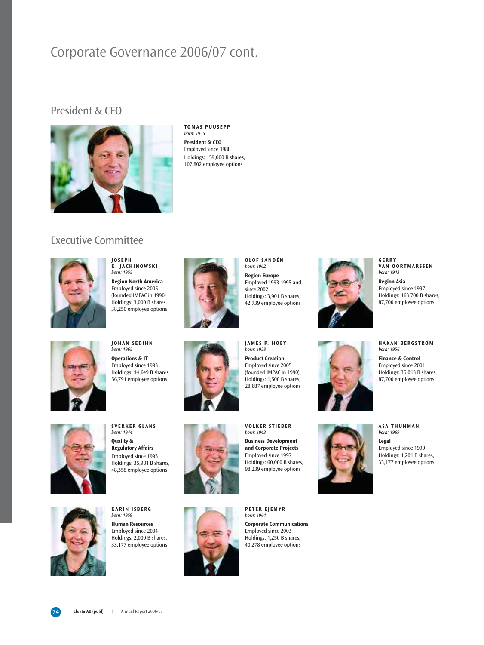## Corporate Governance 2006/07 cont.

### President & CEO



**TOMAS PUUSEPP** *born: 1955* **President & CEO** Employed since 1988 Holdings: 159,000 B shares, 107,802 employee options

### Executive Committee



**JOSEPH K. JACHINOWSKI** *born: 1955* **Region North America** Employed since 2005 (founded IMPAC in 1990) Holdings: 3,000 B shares

38,250 employee options



**OLOF SANDÉN** *born: 1962* **Region Europe**  Employed 1993-1995 and since 2002 Holdings: 3,901 B shares, 42,739 employee options

**JAMES P. HOEY**  *born: 1958* **Product Creation** Employed since 2005 (founded IMPAC in 1990) Holdings: 1,500 B shares, 28,687 employee options







**GERRY** 

**HÅKAN BERGSTRÖM** *born: 1956*

**Finance & Control** Employed since 2001 Holdings: 35,013 B shares, 87,700 employee options



**JOHAN SEDIHN** *born: 1965* **Operations & IT**  Employed since 1993 Holdings: 14,649 B shares, 56,791 employee options





**SVERKER GLANS** *born: 1944* **Quality & Regulatory Affairs** Employed since 1993 Holdings: 35,981 B shares, 48,358 employee options



**KARIN ISBERG** *born: 1959* **Human Resources** Employed since 2004 Holdings: 2,000 B shares, 33,177 employee options



**PETER EJEMYR** *born: 1964*

**VOLKER STIEBER** *born: 1943* **Business Development** 

**and Corporate Projects**  Employed since 1997 Holdings: 60,000 B shares, 98,239 employee options

**Corporate Communications** Employed since 2003 Holdings: 1,250 B shares, 40,278 employee options



**ÅSA THUNMAN** *born: 1969*

**Legal** Employed since 1999 Holdings: 1,201 B shares, 33,177 employee options

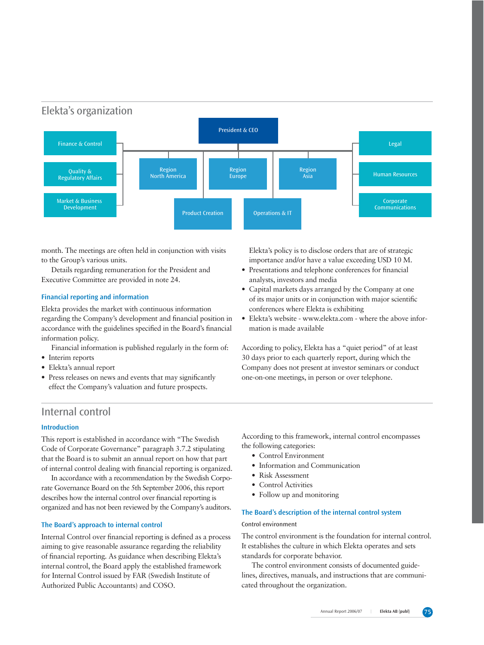

month. The meetings are often held in conjunction with visits to the Group's various units.

Details regarding remuneration for the President and Executive Committee are provided in note 24.

### **Financial reporting and information**

Elekta provides the market with continuous information regarding the Company's development and financial position in accordance with the guidelines specified in the Board's financial information policy.

- Financial information is published regularly in the form of:
- Interim reports
- Elekta's annual report
- Press releases on news and events that may significantly effect the Company's valuation and future prospects.

Elekta's policy is to disclose orders that are of strategic importance and/or have a value exceeding USD 10 M.

- Presentations and telephone conferences for financial analysts, investors and media
- Capital markets days arranged by the Company at one of its major units or in conjunction with major scientific conferences where Elekta is exhibiting
- Elekta's website www.elekta.com where the above information is made available

According to policy, Elekta has a "quiet period" of at least 30 days prior to each quarterly report, during which the Company does not present at investor seminars or conduct one-on-one meetings, in person or over telephone.

### Internal control

### **Introduction**

This report is established in accordance with "The Swedish Code of Corporate Governance" paragraph 3.7.2 stipulating that the Board is to submit an annual report on how that part of internal control dealing with financial reporting is organized.

In accordance with a recommendation by the Swedish Corporate Governance Board on the 5th September 2006, this report describes how the internal control over financial reporting is organized and has not been reviewed by the Company's auditors.

### **The Board's approach to internal control**

Internal Control over financial reporting is defined as a process aiming to give reasonable assurance regarding the reliability of financial reporting. As guidance when describing Elekta's internal control, the Board apply the established framework for Internal Control issued by FAR (Swedish Institute of Authorized Public Accountants) and COSO.

According to this framework, internal control encompasses the following categories:

- Control Environment
- Information and Communication
- Risk Assessment
- Control Activities
- Follow up and monitoring

### **The Board's description of the internal control system**

### Control environment

The control environment is the foundation for internal control. It establishes the culture in which Elekta operates and sets standards for corporate behavior.

The control environment consists of documented guidelines, directives, manuals, and instructions that are communicated throughout the organization.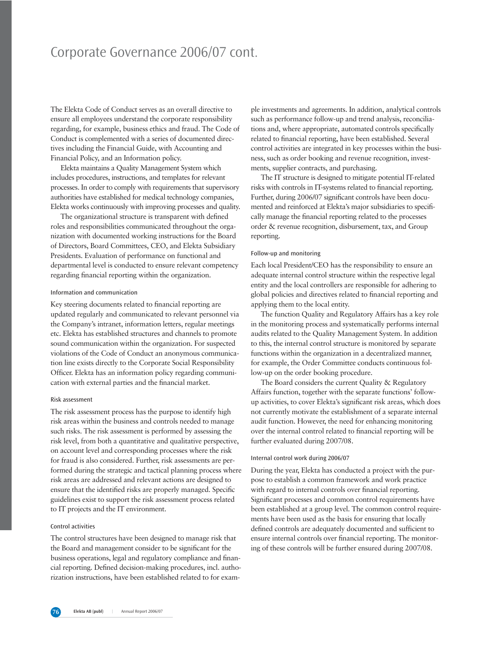## Corporate Governance 2006/07 cont.

The Elekta Code of Conduct serves as an overall directive to ensure all employees understand the corporate responsibility regarding, for example, business ethics and fraud. The Code of Conduct is complemented with a series of documented directives including the Financial Guide, with Accounting and Financial Policy, and an Information policy.

Elekta maintains a Quality Management System which includes procedures, instructions, and templates for relevant processes. In order to comply with requirements that supervisory authorities have established for medical technology companies, Elekta works continuously with improving processes and quality.

The organizational structure is transparent with defined roles and responsibilities communicated throughout the organization with documented working instructions for the Board of Directors, Board Committees, CEO, and Elekta Subsidiary Presidents. Evaluation of performance on functional and departmental level is conducted to ensure relevant competency regarding financial reporting within the organization.

### Information and communication

Key steering documents related to financial reporting are updated regularly and communicated to relevant personnel via the Company's intranet, information letters, regular meetings etc. Elekta has established structures and channels to promote sound communication within the organization. For suspected violations of the Code of Conduct an anonymous communication line exists directly to the Corporate Social Responsibility Officer. Elekta has an information policy regarding communication with external parties and the financial market.

#### Risk assessment

The risk assessment process has the purpose to identify high risk areas within the business and controls needed to manage such risks. The risk assessment is performed by assessing the risk level, from both a quantitative and qualitative perspective, on account level and corresponding processes where the risk for fraud is also considered. Further, risk assessments are performed during the strategic and tactical planning process where risk areas are addressed and relevant actions are designed to ensure that the identified risks are properly managed. Specific guidelines exist to support the risk assessment process related to IT projects and the IT environment.

#### Control activities

The control structures have been designed to manage risk that the Board and management consider to be significant for the business operations, legal and regulatory compliance and financial reporting. Defined decision-making procedures, incl. authorization instructions, have been established related to for example investments and agreements. In addition, analytical controls such as performance follow-up and trend analysis, reconciliations and, where appropriate, automated controls specifically related to financial reporting, have been established. Several control activities are integrated in key processes within the business, such as order booking and revenue recognition, investments, supplier contracts, and purchasing.

The IT structure is designed to mitigate potential IT-related risks with controls in IT-systems related to financial reporting. Further, during 2006/07 significant controls have been documented and reinforced at Elekta's major subsidiaries to specifically manage the financial reporting related to the processes order & revenue recognition, disbursement, tax, and Group reporting.

#### Follow-up and monitoring

Each local President/CEO has the responsibility to ensure an adequate internal control structure within the respective legal entity and the local controllers are responsible for adhering to global policies and directives related to financial reporting and applying them to the local entity.

The function Quality and Regulatory Affairs has a key role in the monitoring process and systematically performs internal audits related to the Quality Management System. In addition to this, the internal control structure is monitored by separate functions within the organization in a decentralized manner, for example, the Order Committee conducts continuous follow-up on the order booking procedure.

The Board considers the current Quality & Regulatory Affairs function, together with the separate functions' followup activities, to cover Elekta's significant risk areas, which does not currently motivate the establishment of a separate internal audit function. However, the need for enhancing monitoring over the internal control related to financial reporting will be further evaluated during 2007/08.

### Internal control work during 2006/07

During the year, Elekta has conducted a project with the purpose to establish a common framework and work practice with regard to internal controls over financial reporting. Significant processes and common control requirements have been established at a group level. The common control requirements have been used as the basis for ensuring that locally defined controls are adequately documented and sufficient to ensure internal controls over financial reporting. The monitoring of these controls will be further ensured during 2007/08.